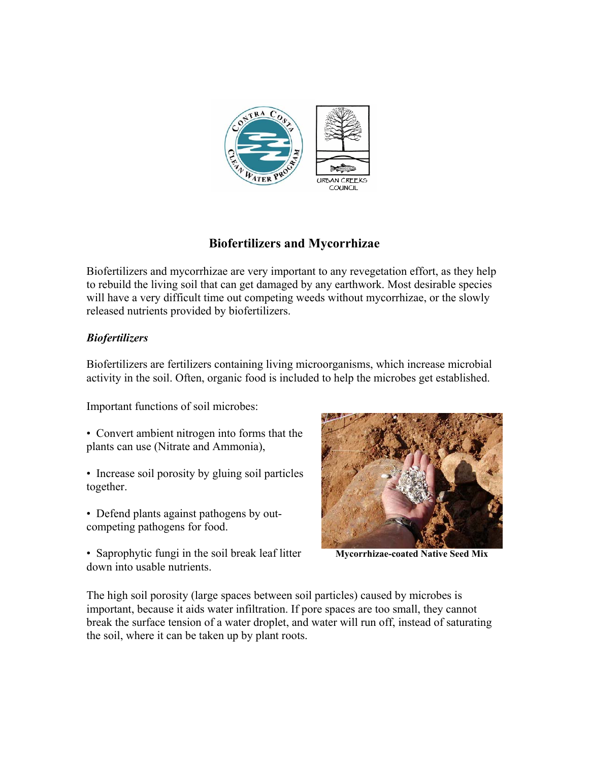

# **Biofertilizers and Mycorrhizae**

Biofertilizers and mycorrhizae are very important to any revegetation effort, as they help to rebuild the living soil that can get damaged by any earthwork. Most desirable species will have a very difficult time out competing weeds without mycorrhizae, or the slowly released nutrients provided by biofertilizers.

## *Biofertilizers*

Biofertilizers are fertilizers containing living microorganisms, which increase microbial activity in the soil. Often, organic food is included to help the microbes get established.

Important functions of soil microbes:

- Convert ambient nitrogen into forms that the plants can use (Nitrate and Ammonia),
- Increase soil porosity by gluing soil particles together.
- Defend plants against pathogens by outcompeting pathogens for food.
- Saprophytic fungi in the soil break leaf litter down into usable nutrients.



**Mycorrhizae-coated Native Seed Mix** 

The high soil porosity (large spaces between soil particles) caused by microbes is important, because it aids water infiltration. If pore spaces are too small, they cannot break the surface tension of a water droplet, and water will run off, instead of saturating the soil, where it can be taken up by plant roots.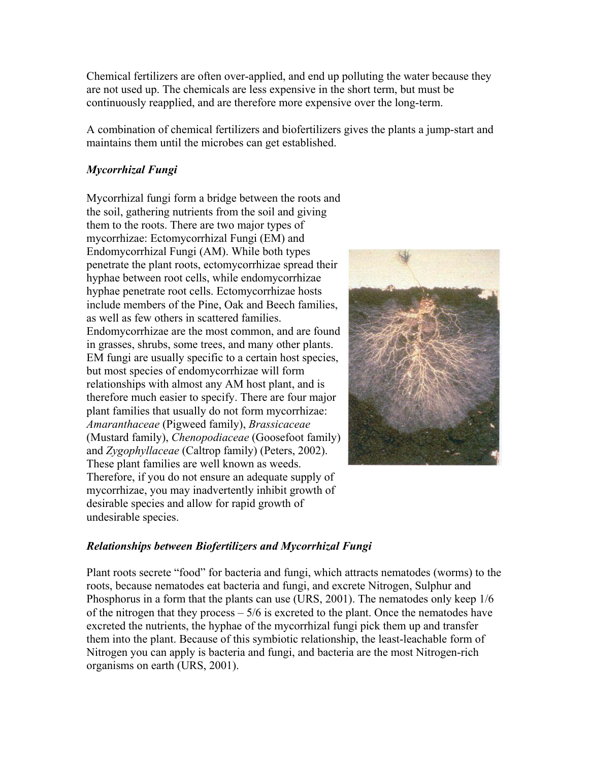Chemical fertilizers are often over-applied, and end up polluting the water because they are not used up. The chemicals are less expensive in the short term, but must be continuously reapplied, and are therefore more expensive over the long-term.

A combination of chemical fertilizers and biofertilizers gives the plants a jump-start and maintains them until the microbes can get established.

## *Mycorrhizal Fungi*

Mycorrhizal fungi form a bridge between the roots and the soil, gathering nutrients from the soil and giving them to the roots. There are two major types of mycorrhizae: Ectomycorrhizal Fungi (EM) and Endomycorrhizal Fungi (AM). While both types penetrate the plant roots, ectomycorrhizae spread their hyphae between root cells, while endomycorrhizae hyphae penetrate root cells. Ectomycorrhizae hosts include members of the Pine, Oak and Beech families, as well as few others in scattered families. Endomycorrhizae are the most common, and are found in grasses, shrubs, some trees, and many other plants. EM fungi are usually specific to a certain host species, but most species of endomycorrhizae will form relationships with almost any AM host plant, and is therefore much easier to specify. There are four major plant families that usually do not form mycorrhizae: *Amaranthaceae* (Pigweed family), *Brassicaceae*  (Mustard family), *Chenopodiaceae* (Goosefoot family) and *Zygophyllaceae* (Caltrop family) (Peters, 2002). These plant families are well known as weeds. Therefore, if you do not ensure an adequate supply of mycorrhizae, you may inadvertently inhibit growth of desirable species and allow for rapid growth of undesirable species.



## *Relationships between Biofertilizers and Mycorrhizal Fungi*

Plant roots secrete "food" for bacteria and fungi, which attracts nematodes (worms) to the roots, because nematodes eat bacteria and fungi, and excrete Nitrogen, Sulphur and Phosphorus in a form that the plants can use (URS, 2001). The nematodes only keep 1/6 of the nitrogen that they process  $-5/6$  is excreted to the plant. Once the nematodes have excreted the nutrients, the hyphae of the mycorrhizal fungi pick them up and transfer them into the plant. Because of this symbiotic relationship, the least-leachable form of Nitrogen you can apply is bacteria and fungi, and bacteria are the most Nitrogen-rich organisms on earth (URS, 2001).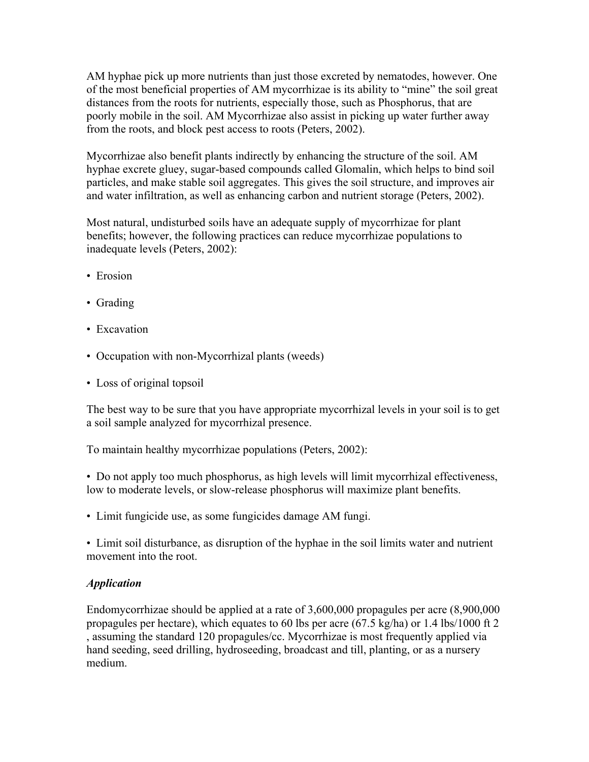AM hyphae pick up more nutrients than just those excreted by nematodes, however. One of the most beneficial properties of AM mycorrhizae is its ability to "mine" the soil great distances from the roots for nutrients, especially those, such as Phosphorus, that are poorly mobile in the soil. AM Mycorrhizae also assist in picking up water further away from the roots, and block pest access to roots (Peters, 2002).

Mycorrhizae also benefit plants indirectly by enhancing the structure of the soil. AM hyphae excrete gluey, sugar-based compounds called Glomalin, which helps to bind soil particles, and make stable soil aggregates. This gives the soil structure, and improves air and water infiltration, as well as enhancing carbon and nutrient storage (Peters, 2002).

Most natural, undisturbed soils have an adequate supply of mycorrhizae for plant benefits; however, the following practices can reduce mycorrhizae populations to inadequate levels (Peters, 2002):

- Erosion
- Grading
- Excavation
- Occupation with non-Mycorrhizal plants (weeds)
- Loss of original topsoil

The best way to be sure that you have appropriate mycorrhizal levels in your soil is to get a soil sample analyzed for mycorrhizal presence.

To maintain healthy mycorrhizae populations (Peters, 2002):

• Do not apply too much phosphorus, as high levels will limit mycorrhizal effectiveness, low to moderate levels, or slow-release phosphorus will maximize plant benefits.

• Limit fungicide use, as some fungicides damage AM fungi.

• Limit soil disturbance, as disruption of the hyphae in the soil limits water and nutrient movement into the root.

## *Application*

Endomycorrhizae should be applied at a rate of 3,600,000 propagules per acre (8,900,000 propagules per hectare), which equates to 60 lbs per acre (67.5 kg/ha) or 1.4 lbs/1000 ft 2 , assuming the standard 120 propagules/cc. Mycorrhizae is most frequently applied via hand seeding, seed drilling, hydroseeding, broadcast and till, planting, or as a nursery medium.